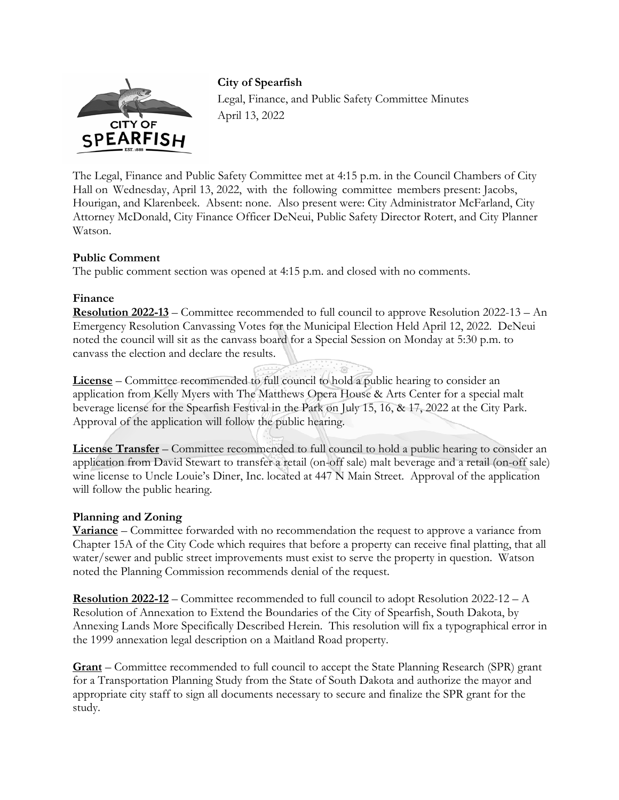

**City of Spearfish** 

Legal, Finance, and Public Safety Committee Minutes April 13, 2022

The Legal, Finance and Public Safety Committee met at 4:15 p.m. in the Council Chambers of City Hall on Wednesday, April 13, 2022, with the following committee members present: Jacobs, Hourigan, and Klarenbeek. Absent: none. Also present were: City Administrator McFarland, City Attorney McDonald, City Finance Officer DeNeui, Public Safety Director Rotert, and City Planner Watson.

## **Public Comment**

The public comment section was opened at 4:15 p.m. and closed with no comments.

## **Finance**

**Resolution 2022-13** – Committee recommended to full council to approve Resolution 2022-13 – An Emergency Resolution Canvassing Votes for the Municipal Election Held April 12, 2022. DeNeui noted the council will sit as the canvass board for a Special Session on Monday at 5:30 p.m. to canvass the election and declare the results.

**License** – Committee recommended to full council to hold a public hearing to consider an application from Kelly Myers with The Matthews Opera House & Arts Center for a special malt beverage license for the Spearfish Festival in the Park on July 15, 16, & 17, 2022 at the City Park. Approval of the application will follow the public hearing.

**License Transfer** – Committee recommended to full council to hold a public hearing to consider an application from David Stewart to transfer a retail (on-off sale) malt beverage and a retail (on-off sale) wine license to Uncle Louie's Diner, Inc. located at 447 N Main Street. Approval of the application will follow the public hearing.

## **Planning and Zoning**

**Variance** – Committee forwarded with no recommendation the request to approve a variance from Chapter 15A of the City Code which requires that before a property can receive final platting, that all water/sewer and public street improvements must exist to serve the property in question. Watson noted the Planning Commission recommends denial of the request.

**Resolution 2022-12** – Committee recommended to full council to adopt Resolution 2022-12 – A Resolution of Annexation to Extend the Boundaries of the City of Spearfish, South Dakota, by Annexing Lands More Specifically Described Herein. This resolution will fix a typographical error in the 1999 annexation legal description on a Maitland Road property.

**Grant** – Committee recommended to full council to accept the State Planning Research (SPR) grant for a Transportation Planning Study from the State of South Dakota and authorize the mayor and appropriate city staff to sign all documents necessary to secure and finalize the SPR grant for the study.